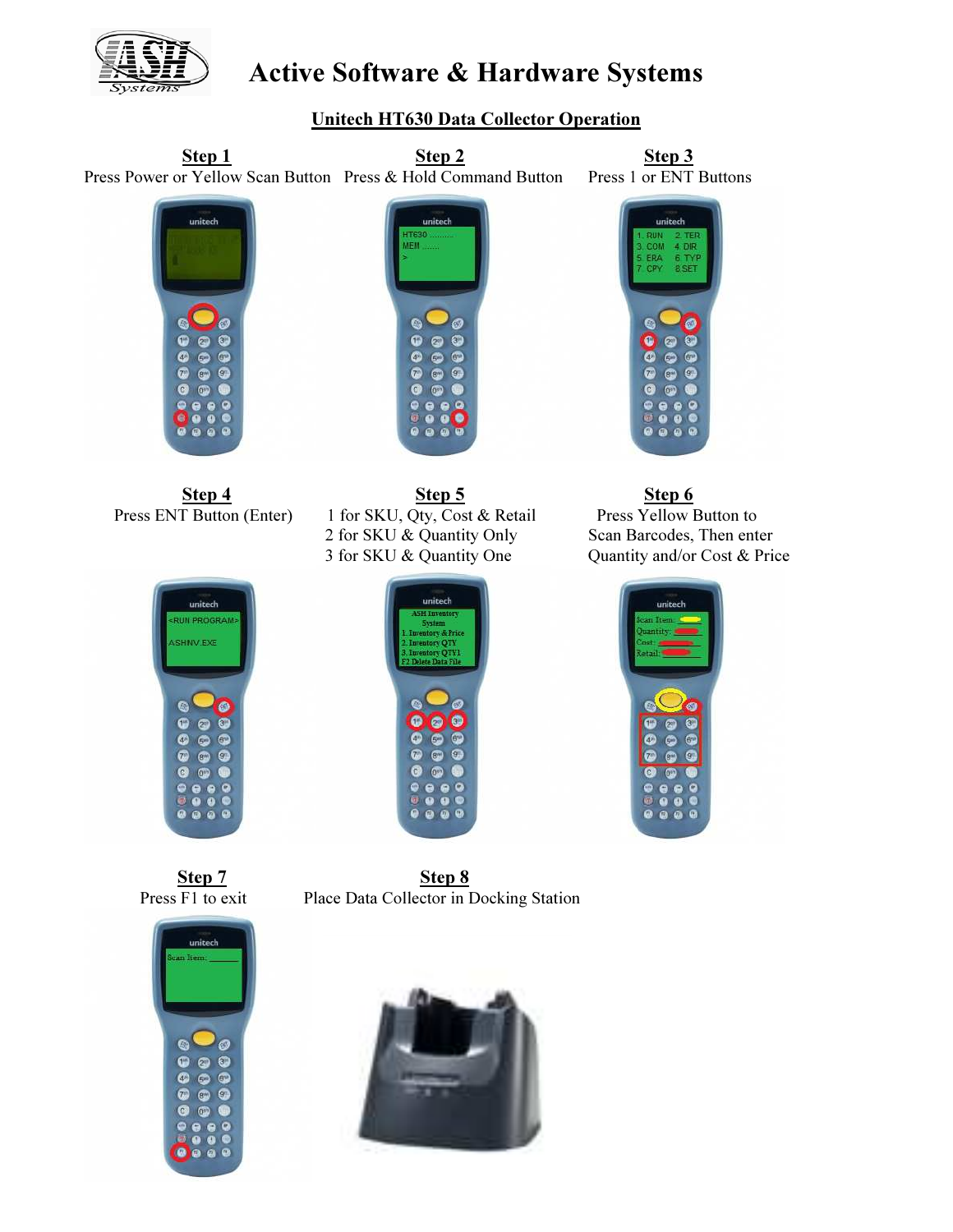

## Unitech HT630 Data Collector Operation









itech **RUN PROGRAM** SHINV.EXE

Step 4 Step 5 Step 6 Step 6 Press ENT Button (Enter) 1 for SKU, Qty, Cost & Retail Press Yellow Button to 2 for SKU & Quantity Only Scan Barcodes, Then enter 3 for SKU & Quantity One Quantity and/or Cost & Price







Step 7 Step 8 Press F1 to exit Place Data Collector in Docking Station

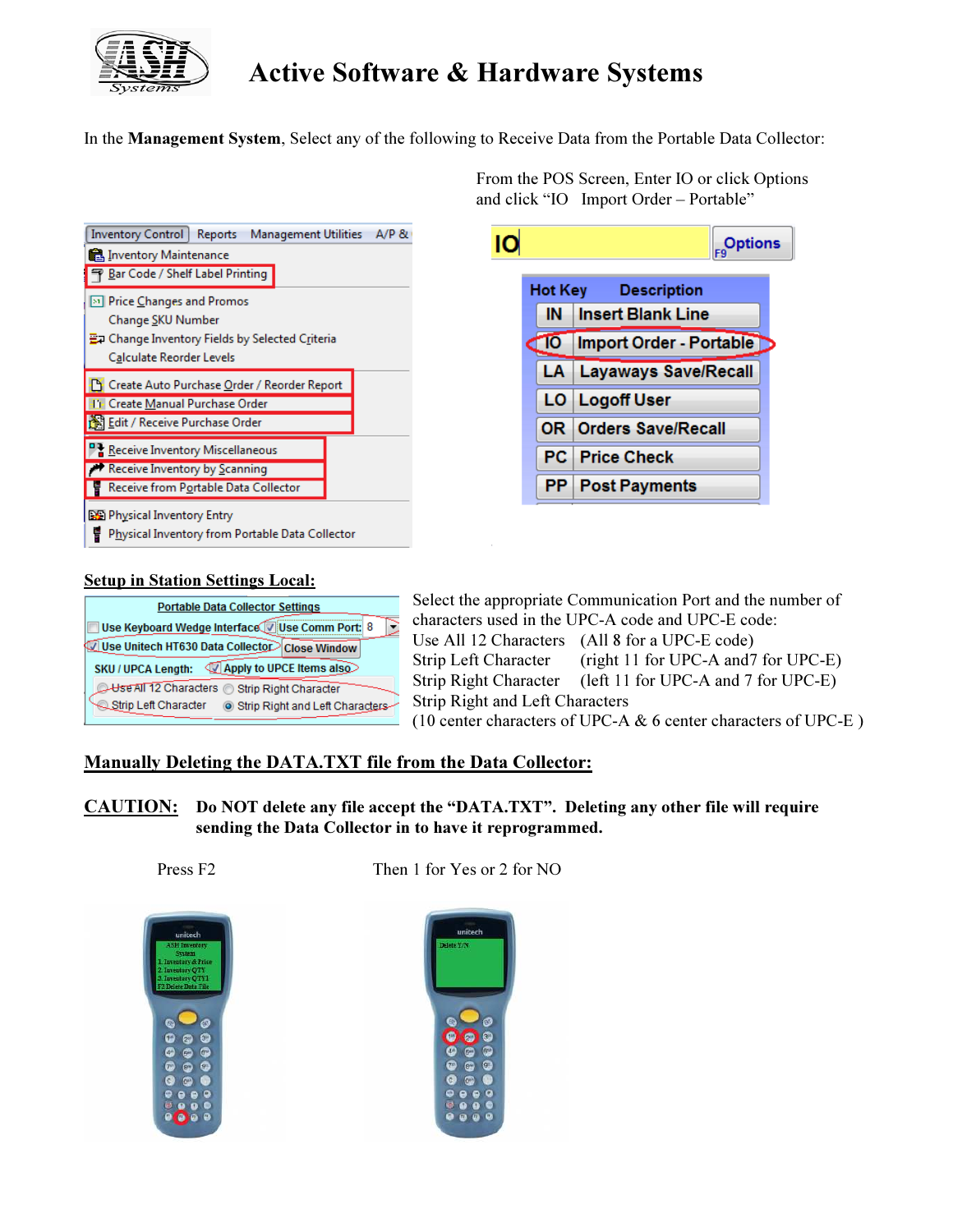

In the Management System, Select any of the following to Receive Data from the Portable Data Collector:

| <b>Inventory Control</b><br>Reports<br>Management Utilities<br>A/P & |  |  |  |
|----------------------------------------------------------------------|--|--|--|
| 6. Inventory Maintenance                                             |  |  |  |
| Bar Code / Shelf Label Printing                                      |  |  |  |
| <b>[31] Price Changes and Promos</b>                                 |  |  |  |
| Change SKU Number                                                    |  |  |  |
| 플코 Change Inventory Fields by Selected Criteria                      |  |  |  |
| Calculate Reorder Levels                                             |  |  |  |
| Create Auto Purchase Order / Reorder Report                          |  |  |  |
| <b>IFF</b> Create Manual Purchase Order                              |  |  |  |
| Edit / Receive Purchase Order                                        |  |  |  |
| P를 Receive Inventory Miscellaneous                                   |  |  |  |
| Receive Inventory by Scanning                                        |  |  |  |
| Receive from Portable Data Collector                                 |  |  |  |
| 图 Physical Inventory Entry                                           |  |  |  |
| <u>Physical Inventory from Portable Data Collector</u>               |  |  |  |

 From the POS Screen, Enter IO or click Options and click "IO Import Order – Portable"



### Setup in Station Settings Local:



Select the appropriate Communication Port and the number of characters used in the UPC-A code and UPC-E code: Use All 12 Characters (All 8 for a UPC-E code) Strip Left Character (right 11 for UPC-A and7 for UPC-E) Strip Right Character (left 11 for UPC-A and 7 for UPC-E) Strip Right and Left Characters (10 center characters of UPC-A & 6 center characters of UPC-E )

### Manually Deleting the DATA.TXT file from the Data Collector:

CAUTION: Do NOT delete any file accept the "DATA.TXT". Deleting any other file will require sending the Data Collector in to have it reprogrammed.





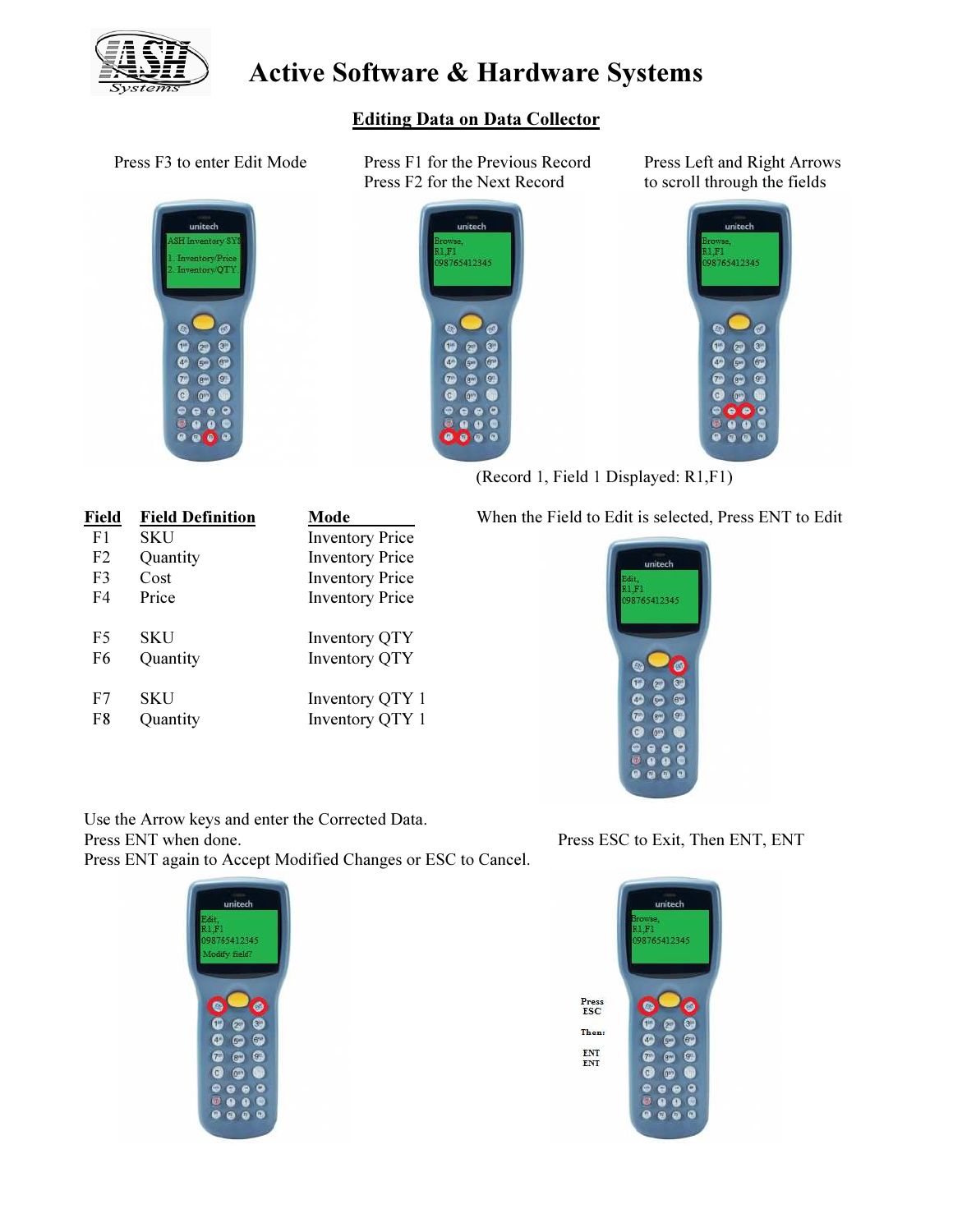

Editing Data on Data Collector



Press F3 to enter Edit Mode Press F1 for the Previous Record Press Left and Right Arrows Press F2 for the Next Record to scroll through the fields





(Record 1, Field 1 Displayed: R1,F1)

| Field          | <b>Field Definition</b> | Mode                   |
|----------------|-------------------------|------------------------|
| F <sub>1</sub> | SKU                     | <b>Inventory Price</b> |
| F <sub>2</sub> | Quantity                | <b>Inventory Price</b> |
| F <sub>3</sub> | Cost                    | <b>Inventory Price</b> |
| F4             | Price                   | <b>Inventory Price</b> |
| F5             | SKU                     | <b>Inventory QTY</b>   |
| F6             | Quantity                | <b>Inventory QTY</b>   |
| F7             | <b>SKU</b>              | Inventory QTY 1        |
| F8             | Quantity                | Inventory QTY 1        |

### Field Field Definition Mode When the Field to Edit is selected, Press ENT to Edit



Use the Arrow keys and enter the Corrected Data. Press ESC to Exit, Then ENT, ENT Press ESC to Exit, Then ENT, ENT Press ENT again to Accept Modified Changes or ESC to Cancel.